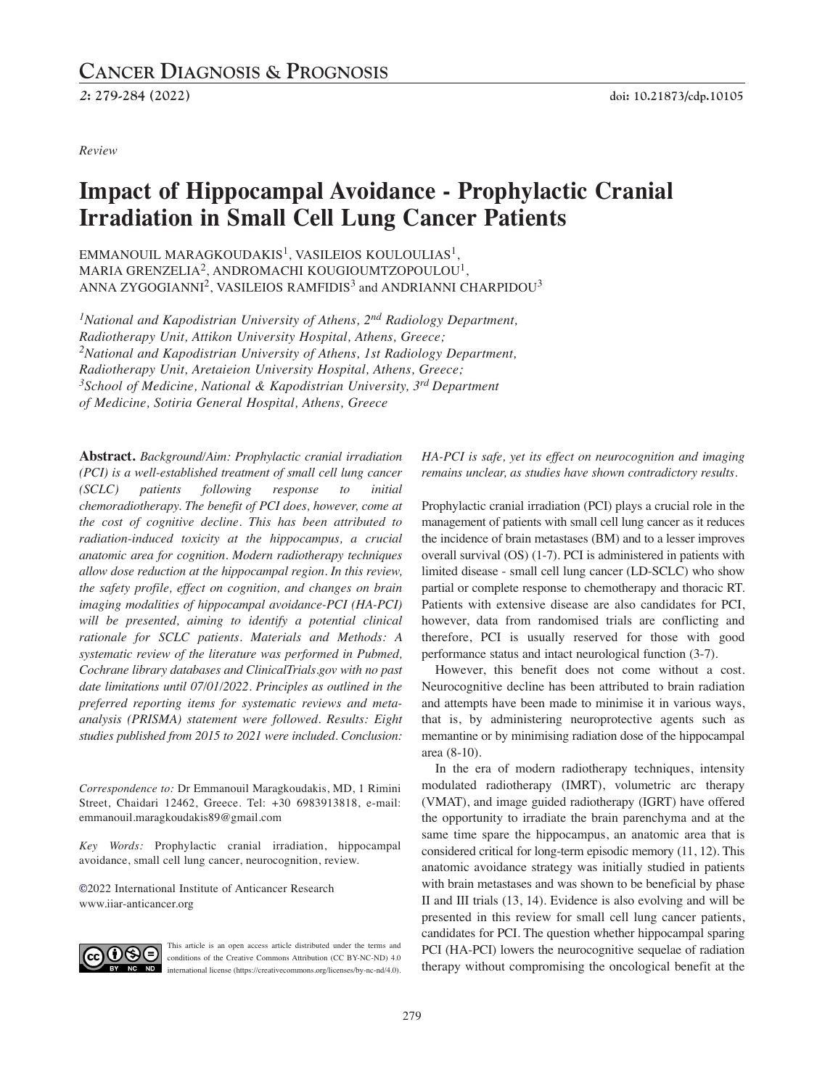<sup>2</sup>: 279-284 (2022) doi: 10.21873/cdp.10105

*Review*

# **Impact of Hippocampal Avoidance - Prophylactic Cranial Irradiation in Small Cell Lung Cancer Patients**

EMMANOUIL MARAGKOUDAKIS<sup>1</sup>, VASILEIOS KOULOULIAS<sup>1</sup>, MARIA GRENZELIA<sup>2</sup>, ANDROMACHI KOUGIOUMTZOPOULOU<sup>1</sup>, ANNA ZYGOGIANNI $^2$ , VASILEIOS RAMFIDIS $^3$  and ANDRIANNI CHARPIDOU $^3$ 

*1National and Kapodistrian University of Athens, 2nd Radiology Department, Radiotherapy Unit, Attikon University Hospital, Athens, Greece; 2National and Kapodistrian University of Athens, 1st Radiology Department, Radiotherapy Unit, Aretaieion University Hospital, Athens, Greece; 3School of Medicine, National & Kapodistrian University, 3rd Department of Medicine, Sotiria General Hospital, Athens, Greece*

**Abstract.** *Background/Aim: Prophylactic cranial irradiation (PCI) is a well-established treatment of small cell lung cancer (SCLC) patients following response to initial chemoradiotherapy. The benefit of PCI does, however, come at the cost of cognitive decline. This has been attributed to radiation-induced toxicity at the hippocampus, a crucial anatomic area for cognition. Modern radiotherapy techniques allow dose reduction at the hippocampal region. In this review, the safety profile, effect on cognition, and changes on brain imaging modalities of hippocampal avoidance-PCI (HA-PCI) will be presented, aiming to identify a potential clinical rationale for SCLC patients. Materials and Methods: A systematic review of the literature was performed in Pubmed, Cochrane library databases and ClinicalTrials.gov with no past date limitations until 07/01/2022. Principles as outlined in the preferred reporting items for systematic reviews and metaanalysis (PRISMA) statement were followed. Results: Eight studies published from 2015 to 2021 were included. Conclusion:*

*Correspondence to:* Dr Emmanouil Maragkoudakis, MD, 1 Rimini Street, Chaidari 12462, Greece. Tel: +30 6983913818, e-mail: emmanouil.maragkoudakis89@gmail.com

*Key Words:* Prophylactic cranial irradiation, hippocampal avoidance, small cell lung cancer, neurocognition, review.

**©**2022 International Institute of Anticancer Research www.iiar-anticancer.org



This article is an open access article distributed under the terms and conditions of the Creative Commons Attribution (CC BY-NC-ND) 4.0 international license (https://creativecommons.org/licenses/by-nc-nd/4.0).

*HA-PCI is safe, yet its effect on neurocognition and imaging remains unclear, as studies have shown contradictory results.*

Prophylactic cranial irradiation (PCI) plays a crucial role in the management of patients with small cell lung cancer as it reduces the incidence of brain metastases (BM) and to a lesser improves overall survival (OS) (1-7). PCI is administered in patients with limited disease - small cell lung cancer (LD-SCLC) who show partial or complete response to chemotherapy and thoracic RT. Patients with extensive disease are also candidates for PCI, however, data from randomised trials are conflicting and therefore, PCI is usually reserved for those with good performance status and intact neurological function (3-7).

However, this benefit does not come without a cost. Neurocognitive decline has been attributed to brain radiation and attempts have been made to minimise it in various ways, that is, by administering neuroprotective agents such as memantine or by minimising radiation dose of the hippocampal area (8-10).

In the era of modern radiotherapy techniques, intensity modulated radiotherapy (IMRT), volumetric arc therapy (VMAT), and image guided radiotherapy (IGRT) have offered the opportunity to irradiate the brain parenchyma and at the same time spare the hippocampus, an anatomic area that is considered critical for long-term episodic memory (11, 12). This anatomic avoidance strategy was initially studied in patients with brain metastases and was shown to be beneficial by phase II and III trials (13, 14). Evidence is also evolving and will be presented in this review for small cell lung cancer patients, candidates for PCI. The question whether hippocampal sparing PCI (HA-PCI) lowers the neurocognitive sequelae of radiation therapy without compromising the oncological benefit at the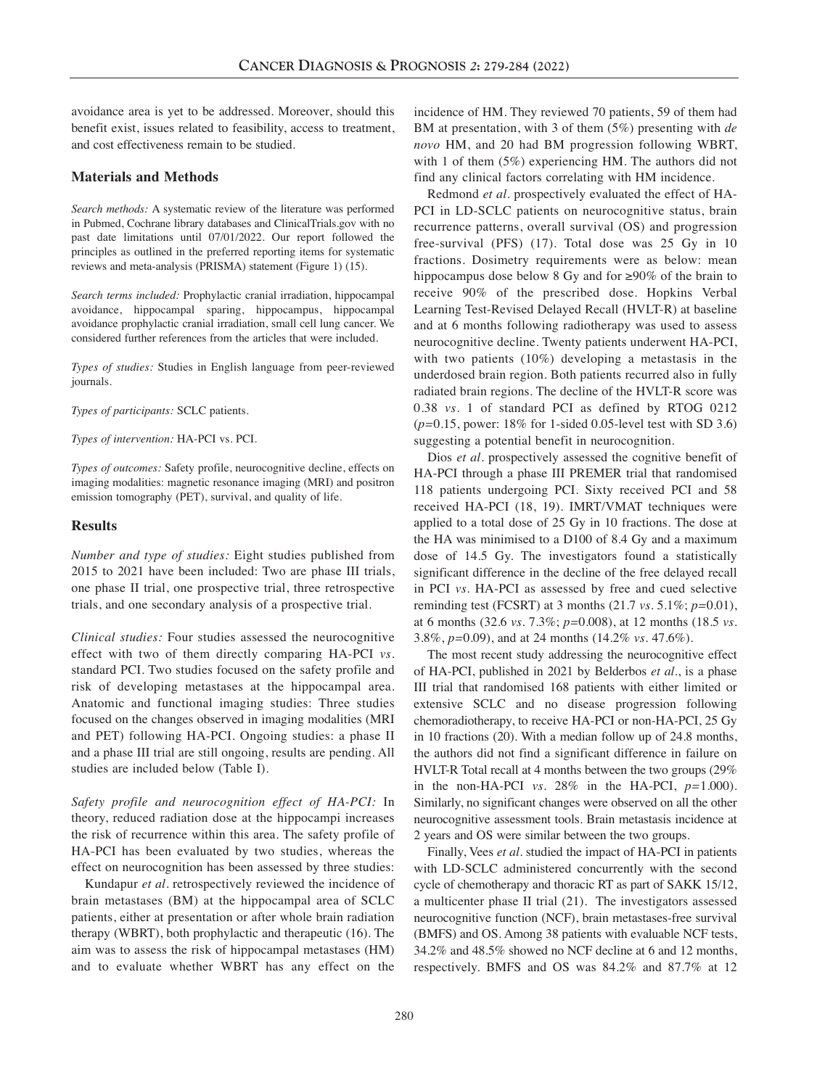avoidance area is yet to be addressed. Moreover, should this benefit exist, issues related to feasibility, access to treatment, and cost effectiveness remain to be studied.

## **Materials and Methods**

*Search methods:* A systematic review of the literature was performed in Pubmed, Cochrane library databases and ClinicalTrials.gov with no past date limitations until 07/01/2022. Our report followed the principles as outlined in the preferred reporting items for systematic reviews and meta-analysis (PRISMA) statement (Figure 1) (15).

*Search terms included:* Prophylactic cranial irradiation, hippocampal avoidance, hippocampal sparing, hippocampus, hippocampal avoidance prophylactic cranial irradiation, small cell lung cancer. We considered further references from the articles that were included.

*Types of studies:* Studies in English language from peer-reviewed journals.

*Types of participants:* SCLC patients.

*Types of intervention:* HA-PCI vs. PCI.

*Types of outcomes:* Safety profile, neurocognitive decline, effects on imaging modalities: magnetic resonance imaging (MRI) and positron emission tomography (PET), survival, and quality of life.

## **Results**

*Number and type of studies:* Eight studies published from 2015 to 2021 have been included: Two are phase III trials, one phase II trial, one prospective trial, three retrospective trials, and one secondary analysis of a prospective trial.

*Clinical studies:* Four studies assessed the neurocognitive effect with two of them directly comparing HA-PCI *vs.* standard PCI. Two studies focused on the safety profile and risk of developing metastases at the hippocampal area. Anatomic and functional imaging studies: Three studies focused on the changes observed in imaging modalities (MRI and PET) following HA-PCI. Ongoing studies: a phase II and a phase III trial are still ongoing, results are pending. All studies are included below (Table I).

*Safety profile and neurocognition effect of HA-PCI:* In theory, reduced radiation dose at the hippocampi increases the risk of recurrence within this area. The safety profile of HA-PCI has been evaluated by two studies, whereas the effect on neurocognition has been assessed by three studies:

Kundapur *et al.* retrospectively reviewed the incidence of brain metastases (BM) at the hippocampal area of SCLC patients, either at presentation or after whole brain radiation therapy (WBRT), both prophylactic and therapeutic (16). The aim was to assess the risk of hippocampal metastases (HM) and to evaluate whether WBRT has any effect on the incidence of HM. They reviewed 70 patients, 59 of them had BM at presentation, with 3 of them (5%) presenting with *de novo* HM, and 20 had BM progression following WBRT, with 1 of them (5%) experiencing HM. The authors did not find any clinical factors correlating with HM incidence.

Redmond *et al.* prospectively evaluated the effect of HA-PCI in LD-SCLC patients on neurocognitive status, brain recurrence patterns, overall survival (OS) and progression free-survival (PFS) (17). Total dose was 25 Gy in 10 fractions. Dosimetry requirements were as below: mean hippocampus dose below 8 Gy and for ≥90% of the brain to receive 90% of the prescribed dose. Hopkins Verbal Learning Test-Revised Delayed Recall (HVLT-R) at baseline and at 6 months following radiotherapy was used to assess neurocognitive decline. Twenty patients underwent HA-PCI, with two patients (10%) developing a metastasis in the underdosed brain region. Both patients recurred also in fully radiated brain regions. The decline of the HVLT-R score was 0.38 *vs.* 1 of standard PCI as defined by RTOG 0212 (*p=*0.15, power: 18% for 1-sided 0.05-level test with SD 3.6) suggesting a potential benefit in neurocognition.

Dios *et al.* prospectively assessed the cognitive benefit of HA-PCI through a phase III PREMER trial that randomised 118 patients undergoing PCI. Sixty received PCI and 58 received HA-PCI (18, 19). IMRT/VMAT techniques were applied to a total dose of 25 Gy in 10 fractions. The dose at the HA was minimised to a D100 of 8.4 Gy and a maximum dose of 14.5 Gy. The investigators found a statistically significant difference in the decline of the free delayed recall in PCI *vs.* HA-PCI as assessed by free and cued selective reminding test (FCSRT) at 3 months (21.7 *vs.* 5.1%; *p=*0.01), at 6 months (32.6 *vs.* 7.3%; *p=*0.008), at 12 months (18.5 *vs.* 3.8%, *p=*0.09), and at 24 months (14.2% *vs.* 47.6%).

The most recent study addressing the neurocognitive effect of HA-PCI, published in 2021 by Belderbos *et al.*, is a phase III trial that randomised 168 patients with either limited or extensive SCLC and no disease progression following chemoradiotherapy, to receive HA-PCI or non-HA-PCI, 25 Gy in 10 fractions (20). With a median follow up of 24.8 months, the authors did not find a significant difference in failure on HVLT-R Total recall at 4 months between the two groups (29% in the non-HA-PCI *vs.* 28% in the HA-PCI,  $p=1.000$ ). Similarly, no significant changes were observed on all the other neurocognitive assessment tools. Brain metastasis incidence at 2 years and OS were similar between the two groups.

Finally, Vees *et al.* studied the impact of HA-PCI in patients with LD-SCLC administered concurrently with the second cycle of chemotherapy and thoracic RT as part of SAKK 15/12, a multicenter phase II trial (21). The investigators assessed neurocognitive function (NCF), brain metastases-free survival (BMFS) and OS. Among 38 patients with evaluable NCF tests, 34.2% and 48.5% showed no NCF decline at 6 and 12 months, respectively. BMFS and OS was 84.2% and 87.7% at 12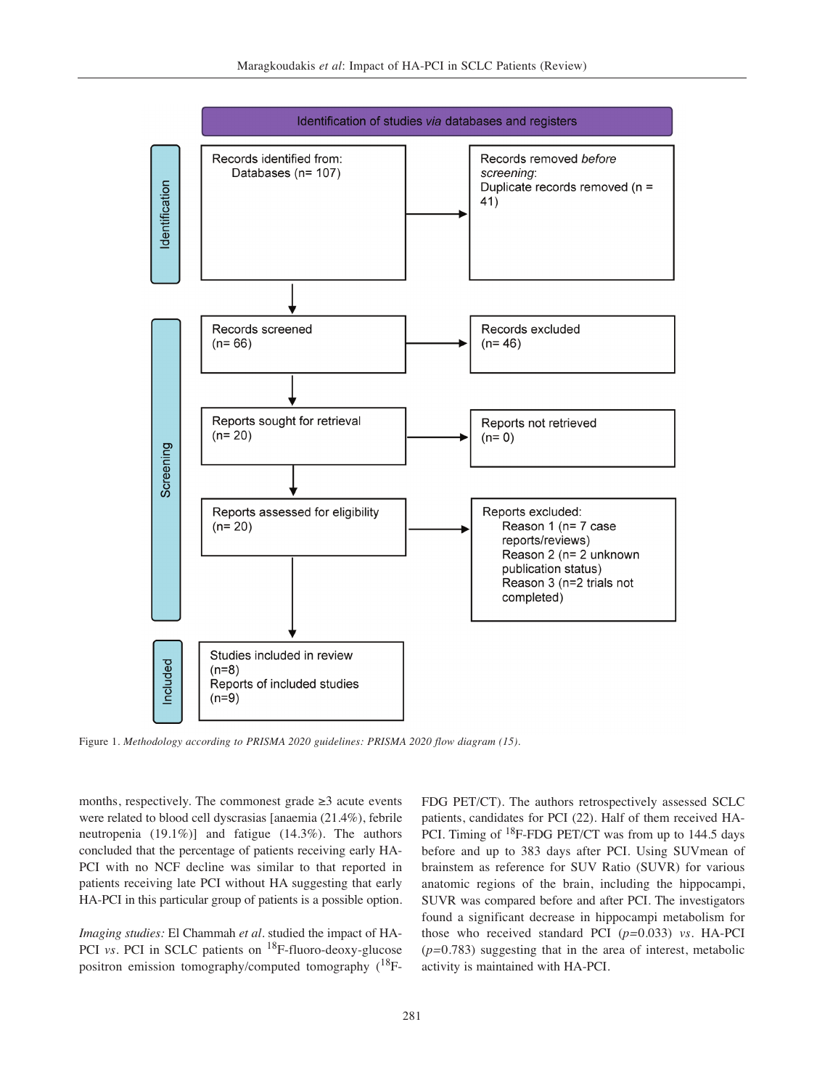

Figure 1. *Methodology according to PRISMA 2020 guidelines: PRISMA 2020 flow diagram (15).*

months, respectively. The commonest grade  $\geq 3$  acute events were related to blood cell dyscrasias [anaemia (21.4%), febrile neutropenia (19.1%)] and fatigue (14.3%). The authors concluded that the percentage of patients receiving early HA-PCI with no NCF decline was similar to that reported in patients receiving late PCI without HA suggesting that early HA-PCI in this particular group of patients is a possible option.

*Imaging studies:* El Chammah *et al.* studied the impact of HA-PCI *vs.* PCI in SCLC patients on <sup>18</sup>F-fluoro-deoxy-glucose positron emission tomography/computed tomography (<sup>18</sup>F-

FDG PET/CT). The authors retrospectively assessed SCLC patients, candidates for PCI (22). Half of them received HA-PCI. Timing of <sup>18</sup>F-FDG PET/CT was from up to 144.5 days before and up to 383 days after PCI. Using SUVmean of brainstem as reference for SUV Ratio (SUVR) for various anatomic regions of the brain, including the hippocampi, SUVR was compared before and after PCI. The investigators found a significant decrease in hippocampi metabolism for those who received standard PCI (*p=*0.033) *vs.* HA-PCI (*p=*0.783) suggesting that in the area of interest, metabolic activity is maintained with HA-PCI.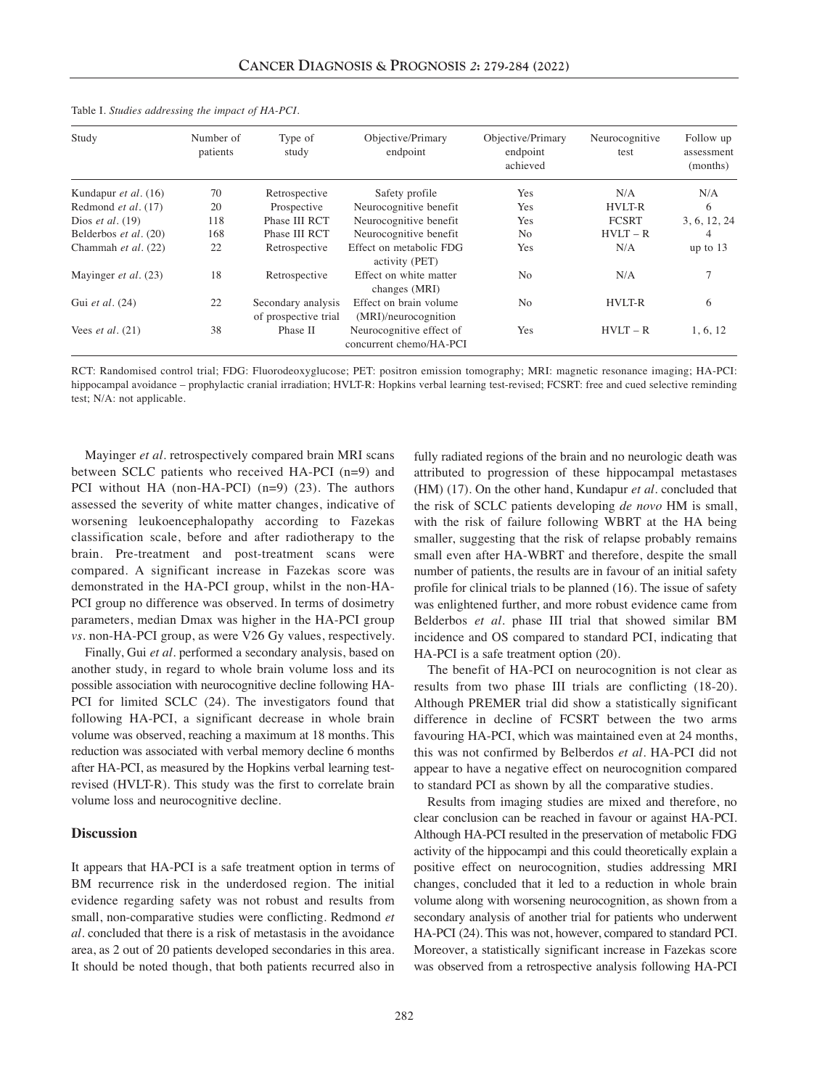| Study                     | Number of<br>patients | Type of<br>study                           | Objective/Primary<br>endpoint                       | Objective/Primary<br>endpoint<br>achieved | Neurocognitive<br>test | Follow up<br>assessment<br>(months) |
|---------------------------|-----------------------|--------------------------------------------|-----------------------------------------------------|-------------------------------------------|------------------------|-------------------------------------|
| Kundapur et al. (16)      | 70                    | Retrospective                              | Safety profile                                      | Yes                                       | N/A                    | N/A                                 |
| Redmond et al. (17)       | 20                    | Prospective                                | Neurocognitive benefit                              | Yes                                       | <b>HVLT-R</b>          | 6                                   |
| Dios et al. $(19)$        | 118                   | Phase III RCT                              | Neurocognitive benefit                              | Yes                                       | <b>FCSRT</b>           | 3, 6, 12, 24                        |
| Belderbos et al. (20)     | 168                   | Phase III RCT                              | Neurocognitive benefit                              | N <sub>0</sub>                            | $HVLT - R$             | 4                                   |
| Chammah et al. (22)       | 22                    | Retrospective                              | Effect on metabolic FDG<br>activity (PET)           | Yes                                       | N/A                    | up to $13$                          |
| Mayinger et al. (23)      | 18                    | Retrospective                              | Effect on white matter<br>changes (MRI)             | N <sub>0</sub>                            | N/A                    | 7                                   |
| Gui et al. (24)           | 22                    | Secondary analysis<br>of prospective trial | Effect on brain volume<br>(MRI)/neurocognition      | N <sub>0</sub>                            | <b>HVLT-R</b>          | 6                                   |
| Vees <i>et al.</i> $(21)$ | 38                    | Phase II                                   | Neurocognitive effect of<br>concurrent chemo/HA-PCI | Yes                                       | $HVLT - R$             | 1, 6, 12                            |

Table I*. Studies addressing the impact of HA-PCI.*

RCT: Randomised control trial; FDG: Fluorodeoxyglucose; PET: positron emission tomography; MRI: magnetic resonance imaging; HA-PCI: hippocampal avoidance – prophylactic cranial irradiation; HVLT-R: Hopkins verbal learning test-revised; FCSRT: free and cued selective reminding test; N/A: not applicable.

Mayinger *et al.* retrospectively compared brain MRI scans between SCLC patients who received HA-PCI (n=9) and PCI without HA (non-HA-PCI) (n=9) (23). The authors assessed the severity of white matter changes, indicative of worsening leukoencephalopathy according to Fazekas classification scale, before and after radiotherapy to the brain. Pre-treatment and post-treatment scans were compared. A significant increase in Fazekas score was demonstrated in the HA-PCI group, whilst in the non-HA-PCI group no difference was observed. In terms of dosimetry parameters, median Dmax was higher in the HA-PCI group *vs.* non-HA-PCI group, as were V26 Gy values, respectively.

Finally, Gui *et al.* performed a secondary analysis, based on another study, in regard to whole brain volume loss and its possible association with neurocognitive decline following HA-PCI for limited SCLC (24). The investigators found that following HA-PCI, a significant decrease in whole brain volume was observed, reaching a maximum at 18 months. This reduction was associated with verbal memory decline 6 months after HA-PCI, as measured by the Hopkins verbal learning testrevised (HVLT-R). This study was the first to correlate brain volume loss and neurocognitive decline.

#### **Discussion**

It appears that HA-PCI is a safe treatment option in terms of BM recurrence risk in the underdosed region. The initial evidence regarding safety was not robust and results from small, non-comparative studies were conflicting. Redmond *et al.* concluded that there is a risk of metastasis in the avoidance area, as 2 out of 20 patients developed secondaries in this area. It should be noted though, that both patients recurred also in fully radiated regions of the brain and no neurologic death was attributed to progression of these hippocampal metastases (HM) (17). On the other hand, Kundapur *et al.* concluded that the risk of SCLC patients developing *de novo* HM is small, with the risk of failure following WBRT at the HA being smaller, suggesting that the risk of relapse probably remains small even after HA-WBRT and therefore, despite the small number of patients, the results are in favour of an initial safety profile for clinical trials to be planned (16). The issue of safety was enlightened further, and more robust evidence came from Belderbos *et al.* phase III trial that showed similar BM incidence and OS compared to standard PCI, indicating that HA-PCI is a safe treatment option (20).

The benefit of HA-PCI on neurocognition is not clear as results from two phase III trials are conflicting (18-20). Although PREMER trial did show a statistically significant difference in decline of FCSRT between the two arms favouring HA-PCI, which was maintained even at 24 months, this was not confirmed by Belberdos *et al.* HA-PCI did not appear to have a negative effect on neurocognition compared to standard PCI as shown by all the comparative studies.

Results from imaging studies are mixed and therefore, no clear conclusion can be reached in favour or against HA-PCI. Although HA-PCI resulted in the preservation of metabolic FDG activity of the hippocampi and this could theoretically explain a positive effect on neurocognition, studies addressing MRI changes, concluded that it led to a reduction in whole brain volume along with worsening neurocognition, as shown from a secondary analysis of another trial for patients who underwent HA-PCI (24). This was not, however, compared to standard PCI. Moreover, a statistically significant increase in Fazekas score was observed from a retrospective analysis following HA-PCI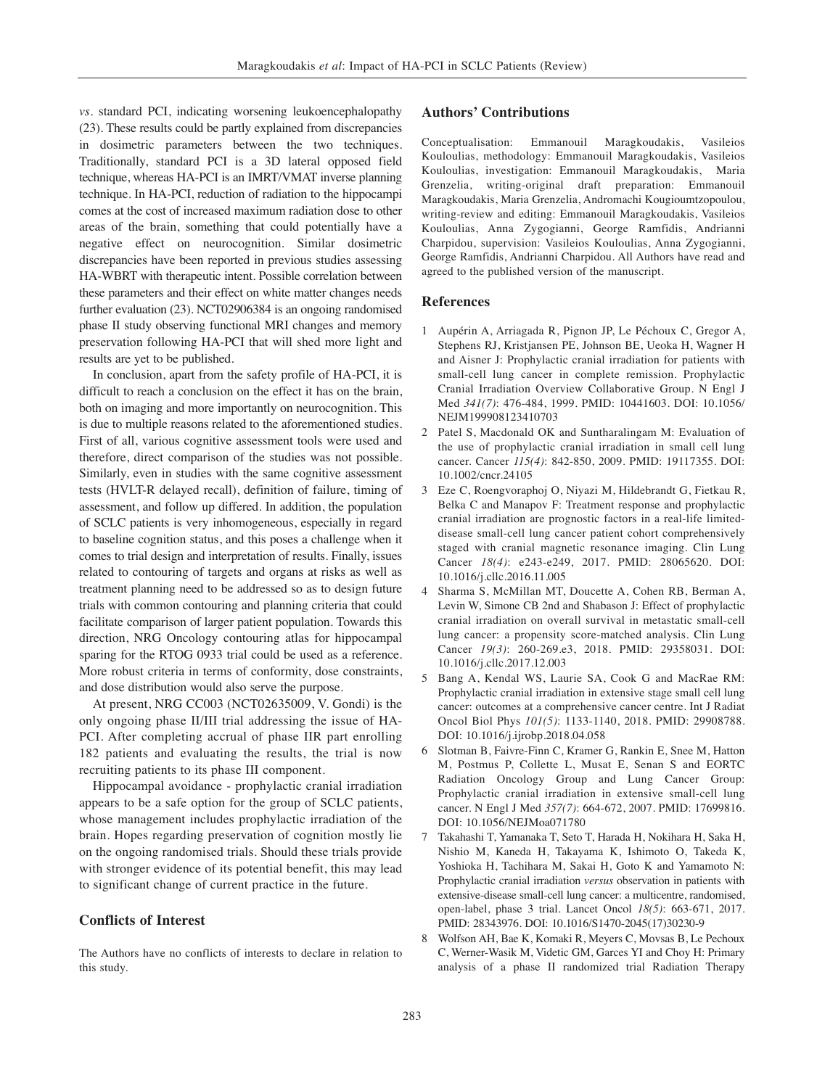*vs.* standard PCI, indicating worsening leukoencephalopathy (23). These results could be partly explained from discrepancies in dosimetric parameters between the two techniques. Traditionally, standard PCI is a 3D lateral opposed field technique, whereas HA-PCI is an IMRT/VMAT inverse planning technique. In HA-PCI, reduction of radiation to the hippocampi comes at the cost of increased maximum radiation dose to other areas of the brain, something that could potentially have a negative effect on neurocognition. Similar dosimetric discrepancies have been reported in previous studies assessing HA-WBRT with therapeutic intent. Possible correlation between these parameters and their effect on white matter changes needs further evaluation (23). NCT02906384 is an ongoing randomised phase II study observing functional MRI changes and memory preservation following HA-PCI that will shed more light and results are yet to be published.

In conclusion, apart from the safety profile of HA-PCI, it is difficult to reach a conclusion on the effect it has on the brain, both on imaging and more importantly on neurocognition. This is due to multiple reasons related to the aforementioned studies. First of all, various cognitive assessment tools were used and therefore, direct comparison of the studies was not possible. Similarly, even in studies with the same cognitive assessment tests (HVLT-R delayed recall), definition of failure, timing of assessment, and follow up differed. In addition, the population of SCLC patients is very inhomogeneous, especially in regard to baseline cognition status, and this poses a challenge when it comes to trial design and interpretation of results. Finally, issues related to contouring of targets and organs at risks as well as treatment planning need to be addressed so as to design future trials with common contouring and planning criteria that could facilitate comparison of larger patient population. Towards this direction, NRG Oncology contouring atlas for hippocampal sparing for the RTOG 0933 trial could be used as a reference. More robust criteria in terms of conformity, dose constraints, and dose distribution would also serve the purpose.

At present, NRG CC003 (NCT02635009, V. Gondi) is the only ongoing phase II/III trial addressing the issue of HA-PCI. After completing accrual of phase IIR part enrolling 182 patients and evaluating the results, the trial is now recruiting patients to its phase III component.

Hippocampal avoidance - prophylactic cranial irradiation appears to be a safe option for the group of SCLC patients, whose management includes prophylactic irradiation of the brain. Hopes regarding preservation of cognition mostly lie on the ongoing randomised trials. Should these trials provide with stronger evidence of its potential benefit, this may lead to significant change of current practice in the future.

# **Conflicts of Interest**

The Authors have no conflicts of interests to declare in relation to this study.

## **Authors' Contributions**

Conceptualisation: Emmanouil Maragkoudakis, Vasileios Kouloulias, methodology: Emmanouil Maragkoudakis, Vasileios Kouloulias, investigation: Emmanouil Maragkoudakis, Maria Grenzelia, writing-original draft preparation: Emmanouil Maragkoudakis, Maria Grenzelia, Andromachi Kougioumtzopoulou, writing-review and editing: Emmanouil Maragkoudakis, Vasileios Kouloulias, Anna Zygogianni, George Ramfidis, Andrianni Charpidou, supervision: Vasileios Kouloulias, Anna Zygogianni, George Ramfidis, Andrianni Charpidou. All Authors have read and agreed to the published version of the manuscript.

# **References**

- 1 Aupérin A, Arriagada R, Pignon JP, Le Péchoux C, Gregor A, Stephens RJ, Kristjansen PE, Johnson BE, Ueoka H, Wagner H and Aisner J: Prophylactic cranial irradiation for patients with small-cell lung cancer in complete remission. Prophylactic Cranial Irradiation Overview Collaborative Group. N Engl J Med *341(7)*: 476-484, 1999. PMID: 10441603. DOI: 10.1056/ NEJM199908123410703
- 2 Patel S, Macdonald OK and Suntharalingam M: Evaluation of the use of prophylactic cranial irradiation in small cell lung cancer. Cancer *115(4)*: 842-850, 2009. PMID: 19117355. DOI: 10.1002/cncr.24105
- 3 Eze C, Roengvoraphoj O, Niyazi M, Hildebrandt G, Fietkau R, Belka C and Manapov F: Treatment response and prophylactic cranial irradiation are prognostic factors in a real-life limiteddisease small-cell lung cancer patient cohort comprehensively staged with cranial magnetic resonance imaging. Clin Lung Cancer *18(4)*: e243-e249, 2017. PMID: 28065620. DOI: 10.1016/j.cllc.2016.11.005
- 4 Sharma S, McMillan MT, Doucette A, Cohen RB, Berman A, Levin W, Simone CB 2nd and Shabason J: Effect of prophylactic cranial irradiation on overall survival in metastatic small-cell lung cancer: a propensity score-matched analysis. Clin Lung Cancer *19(3)*: 260-269.e3, 2018. PMID: 29358031. DOI: 10.1016/j.cllc.2017.12.003
- 5 Bang A, Kendal WS, Laurie SA, Cook G and MacRae RM: Prophylactic cranial irradiation in extensive stage small cell lung cancer: outcomes at a comprehensive cancer centre. Int J Radiat Oncol Biol Phys *101(5)*: 1133-1140, 2018. PMID: 29908788. DOI: 10.1016/j.ijrobp.2018.04.058
- 6 Slotman B, Faivre-Finn C, Kramer G, Rankin E, Snee M, Hatton M, Postmus P, Collette L, Musat E, Senan S and EORTC Radiation Oncology Group and Lung Cancer Group: Prophylactic cranial irradiation in extensive small-cell lung cancer. N Engl J Med *357(7)*: 664-672, 2007. PMID: 17699816. DOI: 10.1056/NEJMoa071780
- 7 Takahashi T, Yamanaka T, Seto T, Harada H, Nokihara H, Saka H, Nishio M, Kaneda H, Takayama K, Ishimoto O, Takeda K, Yoshioka H, Tachihara M, Sakai H, Goto K and Yamamoto N: Prophylactic cranial irradiation *versus* observation in patients with extensive-disease small-cell lung cancer: a multicentre, randomised, open-label, phase 3 trial. Lancet Oncol *18(5)*: 663-671, 2017. PMID: 28343976. DOI: 10.1016/S1470-2045(17)30230-9
- 8 Wolfson AH, Bae K, Komaki R, Meyers C, Movsas B, Le Pechoux C, Werner-Wasik M, Videtic GM, Garces YI and Choy H: Primary analysis of a phase II randomized trial Radiation Therapy